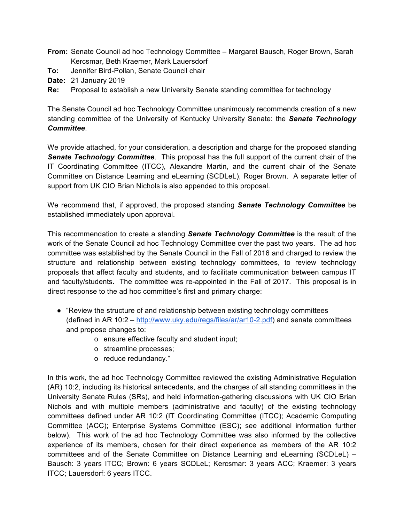- **From:** Senate Council ad hoc Technology Committee Margaret Bausch, Roger Brown, Sarah Kercsmar, Beth Kraemer, Mark Lauersdorf
- **To:** Jennifer Bird-Pollan, Senate Council chair
- **Date:** 21 January 2019
- **Re:** Proposal to establish a new University Senate standing committee for technology

The Senate Council ad hoc Technology Committee unanimously recommends creation of a new standing committee of the University of Kentucky University Senate: the *Senate Technology Committee*.

We provide attached, for your consideration, a description and charge for the proposed standing *Senate Technology Committee*. This proposal has the full support of the current chair of the IT Coordinating Committee (ITCC), Alexandre Martin, and the current chair of the Senate Committee on Distance Learning and eLearning (SCDLeL), Roger Brown. A separate letter of support from UK CIO Brian Nichols is also appended to this proposal.

We recommend that, if approved, the proposed standing *Senate Technology Committee* be established immediately upon approval.

This recommendation to create a standing *Senate Technology Committee* is the result of the work of the Senate Council ad hoc Technology Committee over the past two years. The ad hoc committee was established by the Senate Council in the Fall of 2016 and charged to review the structure and relationship between existing technology committees, to review technology proposals that affect faculty and students, and to facilitate communication between campus IT and faculty/students. The committee was re-appointed in the Fall of 2017. This proposal is in direct response to the ad hoc committee's first and primary charge:

- "Review the structure of and relationship between existing technology committees (defined in AR 10:2 – http://www.uky.edu/regs/files/ar/ar10-2.pdf) and senate committees and propose changes to:
	- o ensure effective faculty and student input;
	- o streamline processes;
	- o reduce redundancy."

In this work, the ad hoc Technology Committee reviewed the existing Administrative Regulation (AR) 10:2, including its historical antecedents, and the charges of all standing committees in the University Senate Rules (SRs), and held information-gathering discussions with UK CIO Brian Nichols and with multiple members (administrative and faculty) of the existing technology committees defined under AR 10:2 (IT Coordinating Committee (ITCC); Academic Computing Committee (ACC); Enterprise Systems Committee (ESC); see additional information further below). This work of the ad hoc Technology Committee was also informed by the collective experience of its members, chosen for their direct experience as members of the AR 10:2 committees and of the Senate Committee on Distance Learning and eLearning (SCDLeL) – Bausch: 3 years ITCC; Brown: 6 years SCDLeL; Kercsmar: 3 years ACC; Kraemer: 3 years ITCC; Lauersdorf: 6 years ITCC.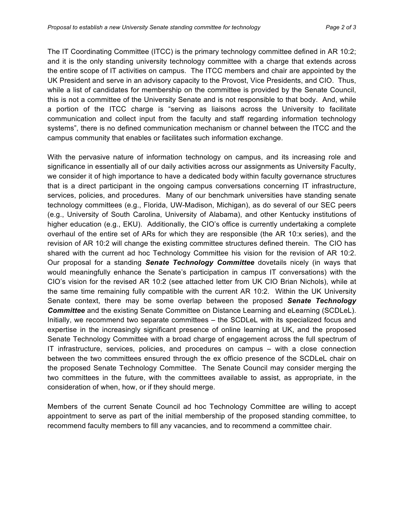The IT Coordinating Committee (ITCC) is the primary technology committee defined in AR 10:2; and it is the only standing university technology committee with a charge that extends across the entire scope of IT activities on campus. The ITCC members and chair are appointed by the UK President and serve in an advisory capacity to the Provost, Vice Presidents, and CIO. Thus, while a list of candidates for membership on the committee is provided by the Senate Council, this is not a committee of the University Senate and is not responsible to that body. And, while a portion of the ITCC charge is "serving as liaisons across the University to facilitate communication and collect input from the faculty and staff regarding information technology systems", there is no defined communication mechanism or channel between the ITCC and the campus community that enables or facilitates such information exchange.

With the pervasive nature of information technology on campus, and its increasing role and significance in essentially all of our daily activities across our assignments as University Faculty, we consider it of high importance to have a dedicated body within faculty governance structures that is a direct participant in the ongoing campus conversations concerning IT infrastructure, services, policies, and procedures. Many of our benchmark universities have standing senate technology committees (e.g., Florida, UW-Madison, Michigan), as do several of our SEC peers (e.g., University of South Carolina, University of Alabama), and other Kentucky institutions of higher education (e.g., EKU). Additionally, the CIO's office is currently undertaking a complete overhaul of the entire set of ARs for which they are responsible (the AR 10:x series), and the revision of AR 10:2 will change the existing committee structures defined therein. The CIO has shared with the current ad hoc Technology Committee his vision for the revision of AR 10:2. Our proposal for a standing *Senate Technology Committee* dovetails nicely (in ways that would meaningfully enhance the Senate's participation in campus IT conversations) with the CIO's vision for the revised AR 10:2 (see attached letter from UK CIO Brian Nichols), while at the same time remaining fully compatible with the current AR 10:2. Within the UK University Senate context, there may be some overlap between the proposed *Senate Technology Committee* and the existing Senate Committee on Distance Learning and eLearning (SCDLeL). Initially, we recommend two separate committees – the SCDLeL with its specialized focus and expertise in the increasingly significant presence of online learning at UK, and the proposed Senate Technology Committee with a broad charge of engagement across the full spectrum of IT infrastructure, services, policies, and procedures on campus – with a close connection between the two committees ensured through the ex officio presence of the SCDLeL chair on the proposed Senate Technology Committee. The Senate Council may consider merging the two committees in the future, with the committees available to assist, as appropriate, in the consideration of when, how, or if they should merge.

Members of the current Senate Council ad hoc Technology Committee are willing to accept appointment to serve as part of the initial membership of the proposed standing committee, to recommend faculty members to fill any vacancies, and to recommend a committee chair.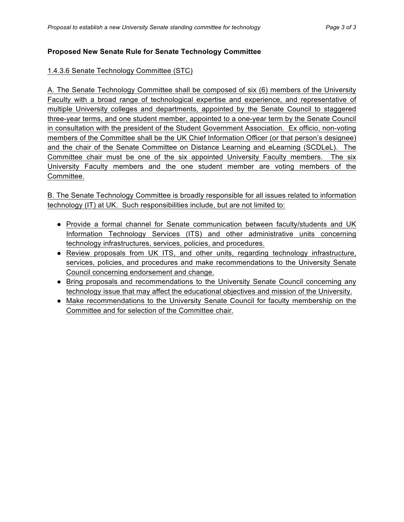#### **Proposed New Senate Rule for Senate Technology Committee**

#### 1.4.3.6 Senate Technology Committee (STC)

A. The Senate Technology Committee shall be composed of six (6) members of the University Faculty with a broad range of technological expertise and experience, and representative of multiple University colleges and departments, appointed by the Senate Council to staggered three-year terms, and one student member, appointed to a one-year term by the Senate Council in consultation with the president of the Student Government Association. Ex officio, non-voting members of the Committee shall be the UK Chief Information Officer (or that person's designee) and the chair of the Senate Committee on Distance Learning and eLearning (SCDLeL). The Committee chair must be one of the six appointed University Faculty members. The six University Faculty members and the one student member are voting members of the Committee.

B. The Senate Technology Committee is broadly responsible for all issues related to information technology (IT) at UK. Such responsibilities include, but are not limited to:

- Provide a formal channel for Senate communication between faculty/students and UK Information Technology Services (ITS) and other administrative units concerning technology infrastructures, services, policies, and procedures.
- Review proposals from UK ITS, and other units, regarding technology infrastructure, services, policies, and procedures and make recommendations to the University Senate Council concerning endorsement and change.
- Bring proposals and recommendations to the University Senate Council concerning any technology issue that may affect the educational objectives and mission of the University.
- Make recommendations to the University Senate Council for faculty membership on the Committee and for selection of the Committee chair.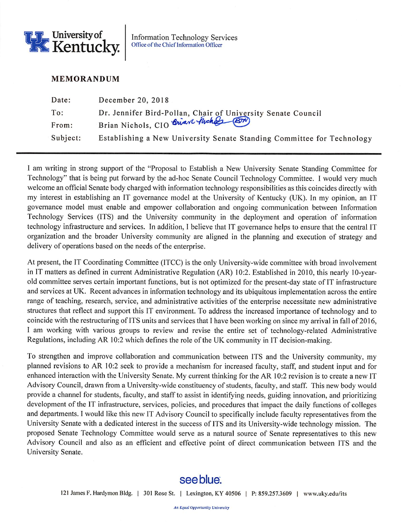

**Information Technology Services** Office of the Chief Information Officer

### **MEMORANDUM**

| Date:    | December 20, 2018                                                                                    |
|----------|------------------------------------------------------------------------------------------------------|
| To:      | Dr. Jennifer Bird-Pollan, Chair of University Senate Council<br>Brian Nichols, CIO Brian Juches (BP) |
| From:    |                                                                                                      |
| Subject: | Establishing a New University Senate Standing Committee for Technology                               |

I am writing in strong support of the "Proposal to Establish a New University Senate Standing Committee for Technology" that is being put forward by the ad-hoc Senate Council Technology Committee. I would very much welcome an official Senate body charged with information technology responsibilities as this coincides directly with my interest in establishing an IT governance model at the University of Kentucky (UK). In my opinion, an IT governance model must enable and empower collaboration and ongoing communication between Information Technology Services (ITS) and the University community in the deployment and operation of information technology infrastructure and services. In addition, I believe that IT governance helps to ensure that the central IT organization and the broader University community are aligned in the planning and execution of strategy and delivery of operations based on the needs of the enterprise.

At present, the IT Coordinating Committee (ITCC) is the only University-wide committee with broad involvement in IT matters as defined in current Administrative Regulation (AR) 10:2. Established in 2010, this nearly 10-yearold committee serves certain important functions, but is not optimized for the present-day state of IT infrastructure and services at UK. Recent advances in information technology and its ubiquitous implementation across the entire range of teaching, research, service, and administrative activities of the enterprise necessitate new administrative structures that reflect and support this IT environment. To address the increased importance of technology and to coincide with the restructuring of ITS units and services that I have been working on since my arrival in fall of 2016, I am working with various groups to review and revise the entire set of technology-related Administrative Regulations, including AR 10:2 which defines the role of the UK community in IT decision-making.

To strengthen and improve collaboration and communication between ITS and the University community, my planned revisions to AR 10:2 seek to provide a mechanism for increased faculty, staff, and student input and for enhanced interaction with the University Senate. My current thinking for the AR 10:2 revision is to create a new IT Advisory Council, drawn from a University-wide constituency of students, faculty, and staff. This new body would provide a channel for students, faculty, and staff to assist in identifying needs, guiding innovation, and prioritizing development of the IT infrastructure, services, policies, and procedures that impact the daily functions of colleges and departments. I would like this new IT Advisory Council to specifically include faculty representatives from the University Senate with a dedicated interest in the success of ITS and its University-wide technology mission. The proposed Senate Technology Committee would serve as a natural source of Senate representatives to this new Advisory Council and also as an efficient and effective point of direct communication between ITS and the University Senate.

## see blue.

121 James F. Hardymon Bldg. | 301 Rose St. | Lexington, KY 40506 | P: 859.257.3609 | www.uky.edu/its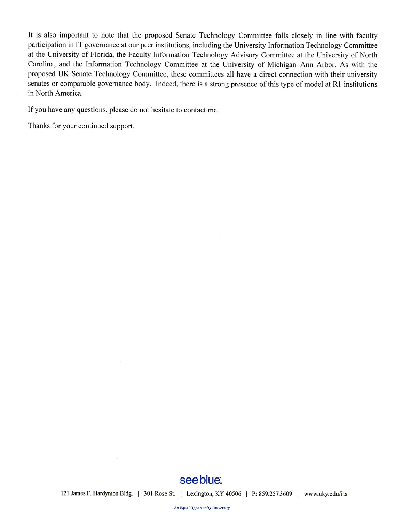It is also important to note that the proposed Senate Technology Committee falls closely in line with faculty participation in IT governance at our peer institutions, including the University Information Technology Committee at the University of Florida, the Faculty Information Technology Advisory Committee at the University of North Carolina, and the Information Technology Committee at the University of Michigan-Ann Arbor. As with the proposed UK Senate Technology Committee, these committees all have a direct connection with their university senates or comparable governance body. Indeed, there is a strong presence of this type of model at R1 institutions in North America.

If you have any questions, please do not hesitate to contact me.

Thanks for your continued support.

## see blue.

121 James F. Hardymon Bldg. | 301 Rose St. | Lexington, KY 40506 | P: 859.257.3609 | www.uky.edu/its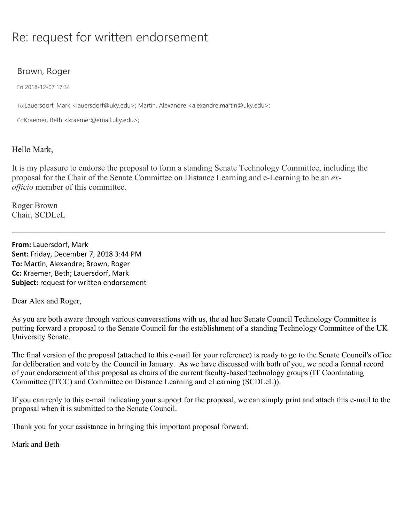# Re: request for written endorsement

## Brown, Roger

Fri 2018-12-07 17:34

To:Lauersdorf, Mark <lauersdorf@uky.edu>; Martin, Alexandre <alexandre.martin@uky.edu>;

Cc:Kraemer, Beth <kraemer@email.uky.edu>;

### Hello Mark,

It is my pleasure to endorse the proposal to form a standing Senate Technology Committee, including the proposal for the Chair of the Senate Committee on Distance Learning and e-Learning to be an *exofficio* member of this committee.

Roger Brown Chair, SCDLeL

**From:** Lauersdorf, Mark **Sent:** Friday, December 7, 2018 3:44 PM **To:** Martin, Alexandre; Brown, Roger **Cc:** Kraemer, Beth; Lauersdorf, Mark **Subject:** request for written endorsement

Dear Alex and Roger,

As you are both aware through various conversations with us, the ad hoc Senate Council Technology Committee is putting forward a proposal to the Senate Council for the establishment of a standing Technology Committee of the UK University Senate.

The final version of the proposal (attached to this e-mail for your reference) is ready to go to the Senate Council's office for deliberation and vote by the Council in January. As we have discussed with both of you, we need a formal record of your endorsement of this proposal as chairs of the current faculty-based technology groups (IT Coordinating Committee (ITCC) and Committee on Distance Learning and eLearning (SCDLeL)).

If you can reply to this e-mail indicating your support for the proposal, we can simply print and attach this e-mail to the proposal when it is submitted to the Senate Council.

Thank you for your assistance in bringing this important proposal forward.

Mark and Beth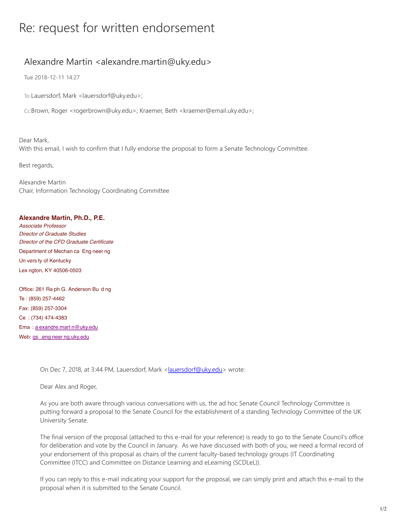# Re: request for written endorsement

## Alexandre Martin <alexandre.martin@uky.edu>

Tue 2018-12-11 14:27

To:Lauersdorf, Mark <lauersdorf@uky.edu>;

Cc:Brown, Roger <rogerbrown@uky.edu>; Kraemer, Beth <kraemer@email.uky.edu>;

Dear Mark, With this email, I wish to confirm that I fully endorse the proposal to form a Senate Technology Committee.

Best regards,

Alexandre Martin Chair, Information Technology Coordinating Committee

#### **Alexandre Martin, Ph.D., P.E.**

*Associate Professor Director of Graduate Studies Director of the CFD Graduate Certificate* Department of Mechan ca Eng neer ng Un vers ty of Kentucky Lex ngton, KY 40506-0503

Office: 261 Ra ph G. Anderson Bu d ng Te : (859) 257-4462 Fax: (859) 257-3304 Ce : (734) 474-4383 Ema : a exandre.mart n@uky.edu Web: gs .eng neer ng.uky.edu

On Dec 7, 2018, at 3:44 PM, Lauersdorf, Mark <lauersdorf@uky.edu> wrote:

Dear Alex and Roger,

As you are both aware through various conversations with us, the ad hoc Senate Council Technology Committee is putting forward a proposal to the Senate Council for the establishment of a standing Technology Committee of the UK University Senate.

The final version of the proposal (attached to this e-mail for your reference) is ready to go to the Senate Council's office for deliberation and vote by the Council in January. As we have discussed with both of you, we need a formal record of your endorsement of this proposal as chairs of the current faculty-based technology groups (IT Coordinating Committee (ITCC) and Committee on Distance Learning and eLearning (SCDLeL)).

If you can reply to this e-mail indicating your support for the proposal, we can simply print and attach this e-mail to the proposal when it is submitted to the Senate Council.